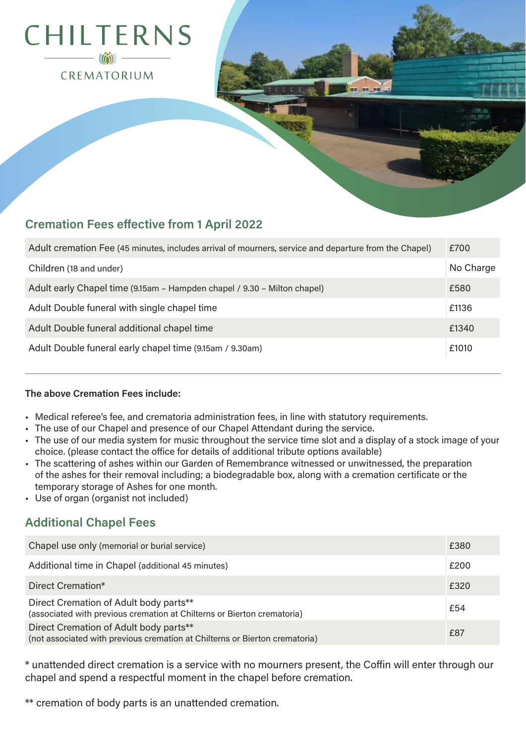

# **Cremation Fees effective from 1 April 2022**

| Adult cremation Fee (45 minutes, includes arrival of mourners, service and departure from the Chapel) | £700      |
|-------------------------------------------------------------------------------------------------------|-----------|
| Children (18 and under)                                                                               | No Charge |
| Adult early Chapel time (9.15am - Hampden chapel / 9.30 - Milton chapel)                              | £580      |
| Adult Double funeral with single chapel time                                                          | £1136     |
| Adult Double funeral additional chapel time                                                           | £1340     |
| Adult Double funeral early chapel time (9.15am / 9.30am)                                              | £1010     |

## **The above Cremation Fees include:**

- Medical referee's fee, and crematoria administration fees, in line with statutory requirements.
- The use of our Chapel and presence of our Chapel Attendant during the service.
- The use of our media system for music throughout the service time slot and a display of a stock image of your choice. (please contact the office for details of additional tribute options available)
- The scattering of ashes within our Garden of Remembrance witnessed or unwitnessed, the preparation of the ashes for their removal including; a biodegradable box, along with a cremation certificate or the temporary storage of Ashes for one month.
- Use of organ (organist not included)

# **Additional Chapel Fees**

| Chapel use only (memorial or burial service)                                                                          | £380 |
|-----------------------------------------------------------------------------------------------------------------------|------|
| Additional time in Chapel (additional 45 minutes)                                                                     | £200 |
| Direct Cremation*                                                                                                     | £320 |
| Direct Cremation of Adult body parts**<br>(associated with previous cremation at Chilterns or Bierton crematoria)     | £54  |
| Direct Cremation of Adult body parts**<br>(not associated with previous cremation at Chilterns or Bierton crematoria) | £87  |

\* unattended direct cremation is a service with no mourners present, the Coffin will enter through our chapel and spend a respectful moment in the chapel before cremation.

\*\* cremation of body parts is an unattended cremation.